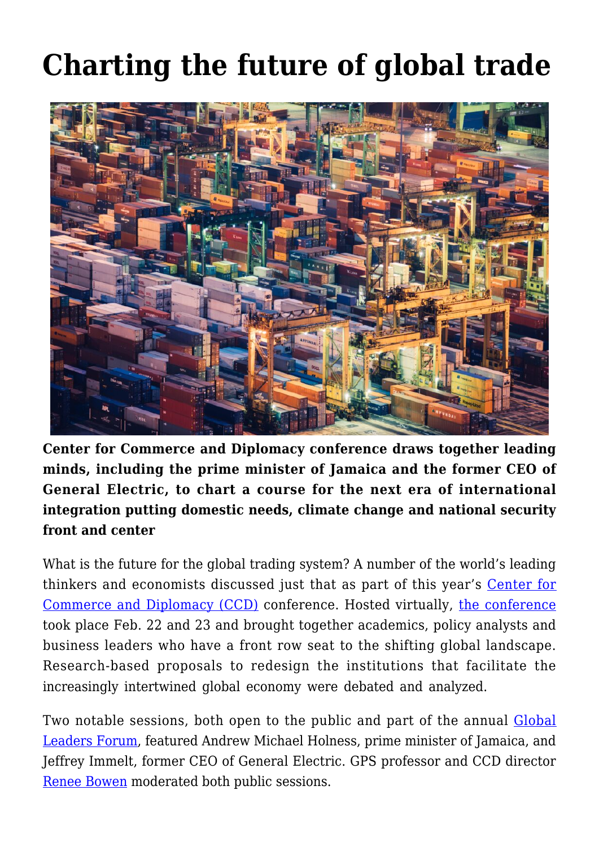## **[Charting the future of global trade](https://gpsnews.ucsd.edu/charting-the-future-of-global-trade/)**



**Center for Commerce and Diplomacy conference draws together leading minds, including the prime minister of Jamaica and the former CEO of General Electric, to chart a course for the next era of international integration putting domestic needs, climate change and national security front and center**

What is the future for the global trading system? A number of the world's leading thinkers and economists discussed just that as part of this year's [Center for](https://ccd.ucsd.edu/) [Commerce and Diplomacy \(CCD\)](https://ccd.ucsd.edu/) conference. Hosted virtually, [the conference](https://ccd.ucsd.edu/events/conference-on-global-trading-system.html) took place Feb. 22 and 23 and brought together academics, policy analysts and business leaders who have a front row seat to the shifting global landscape. Research-based proposals to redesign the institutions that facilitate the increasingly intertwined global economy were debated and analyzed.

Two notable sessions, both open to the public and part of the annual [Global](https://ccd.ucsd.edu/events/global-leaders-forum.html) [Leaders Forum,](https://ccd.ucsd.edu/events/global-leaders-forum.html) featured Andrew Michael Holness, prime minister of Jamaica, and Jeffrey Immelt, former CEO of General Electric. GPS professor and CCD director [Renee Bowen](https://gps.ucsd.edu/faculty-directory/renee-bowen.html) moderated both public sessions.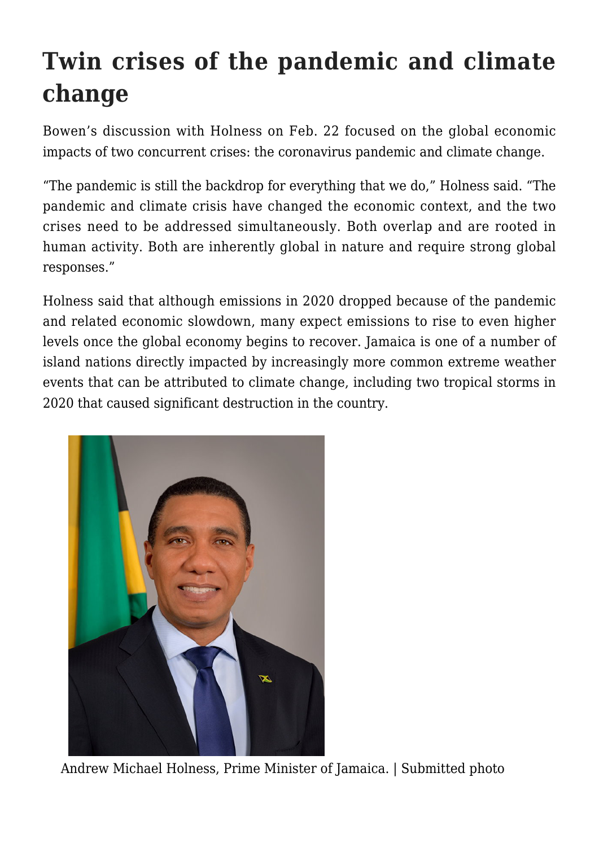## **Twin crises of the pandemic and climate change**

Bowen's discussion with Holness on Feb. 22 focused on the global economic impacts of two concurrent crises: the coronavirus pandemic and climate change.

"The pandemic is still the backdrop for everything that we do," Holness said. "The pandemic and climate crisis have changed the economic context, and the two crises need to be addressed simultaneously. Both overlap and are rooted in human activity. Both are inherently global in nature and require strong global responses."

Holness said that although emissions in 2020 dropped because of the pandemic and related economic slowdown, many expect emissions to rise to even higher levels once the global economy begins to recover. Jamaica is one of a number of island nations directly impacted by increasingly more common extreme weather events that can be attributed to climate change, including two tropical storms in 2020 that caused significant destruction in the country.



Andrew Michael Holness, Prime Minister of Jamaica. | Submitted photo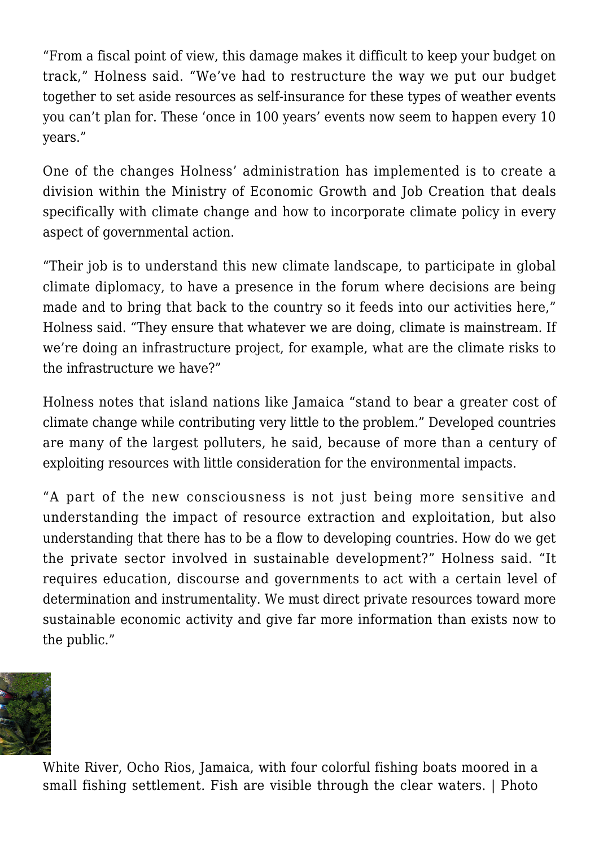"From a fiscal point of view, this damage makes it difficult to keep your budget on track," Holness said. "We've had to restructure the way we put our budget together to set aside resources as self-insurance for these types of weather events you can't plan for. These 'once in 100 years' events now seem to happen every 10 years."

One of the changes Holness' administration has implemented is to create a division within the Ministry of Economic Growth and Job Creation that deals specifically with climate change and how to incorporate climate policy in every aspect of governmental action.

"Their job is to understand this new climate landscape, to participate in global climate diplomacy, to have a presence in the forum where decisions are being made and to bring that back to the country so it feeds into our activities here," Holness said. "They ensure that whatever we are doing, climate is mainstream. If we're doing an infrastructure project, for example, what are the climate risks to the infrastructure we have?"

Holness notes that island nations like Jamaica "stand to bear a greater cost of climate change while contributing very little to the problem." Developed countries are many of the largest polluters, he said, because of more than a century of exploiting resources with little consideration for the environmental impacts.

"A part of the new consciousness is not just being more sensitive and understanding the impact of resource extraction and exploitation, but also understanding that there has to be a flow to developing countries. How do we get the private sector involved in sustainable development?" Holness said. "It requires education, discourse and governments to act with a certain level of determination and instrumentality. We must direct private resources toward more sustainable economic activity and give far more information than exists now to the public."



White River, Ocho Rios, Jamaica, with four colorful fishing boats moored in a small fishing settlement. Fish are visible through the clear waters. | Photo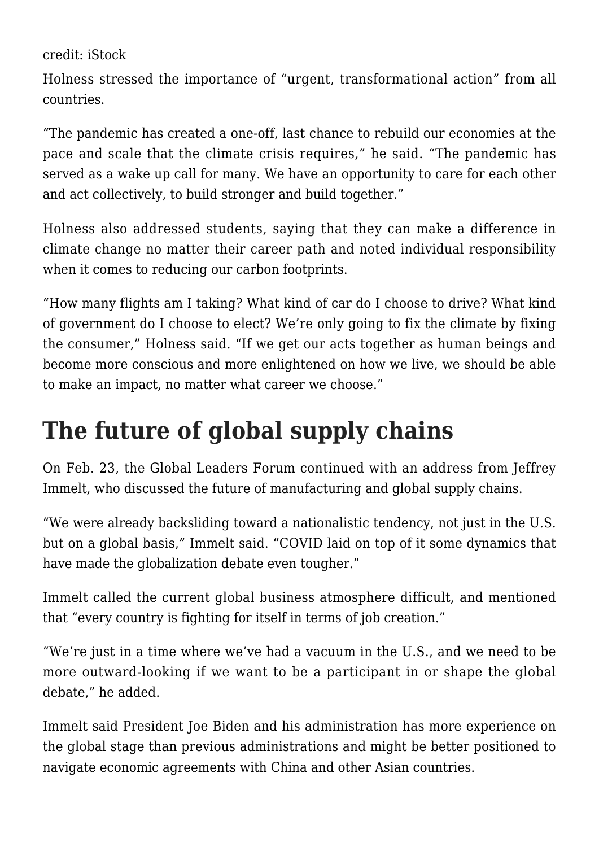credit: iStock

Holness stressed the importance of "urgent, transformational action" from all countries.

"The pandemic has created a one-off, last chance to rebuild our economies at the pace and scale that the climate crisis requires," he said. "The pandemic has served as a wake up call for many. We have an opportunity to care for each other and act collectively, to build stronger and build together."

Holness also addressed students, saying that they can make a difference in climate change no matter their career path and noted individual responsibility when it comes to reducing our carbon footprints.

"How many flights am I taking? What kind of car do I choose to drive? What kind of government do I choose to elect? We're only going to fix the climate by fixing the consumer," Holness said. "If we get our acts together as human beings and become more conscious and more enlightened on how we live, we should be able to make an impact, no matter what career we choose."

## **The future of global supply chains**

On Feb. 23, the Global Leaders Forum continued with an address from Jeffrey Immelt, who discussed the future of manufacturing and global supply chains.

"We were already backsliding toward a nationalistic tendency, not just in the U.S. but on a global basis," Immelt said. "COVID laid on top of it some dynamics that have made the globalization debate even tougher."

Immelt called the current global business atmosphere difficult, and mentioned that "every country is fighting for itself in terms of job creation."

"We're just in a time where we've had a vacuum in the U.S., and we need to be more outward-looking if we want to be a participant in or shape the global debate," he added.

Immelt said President Joe Biden and his administration has more experience on the global stage than previous administrations and might be better positioned to navigate economic agreements with China and other Asian countries.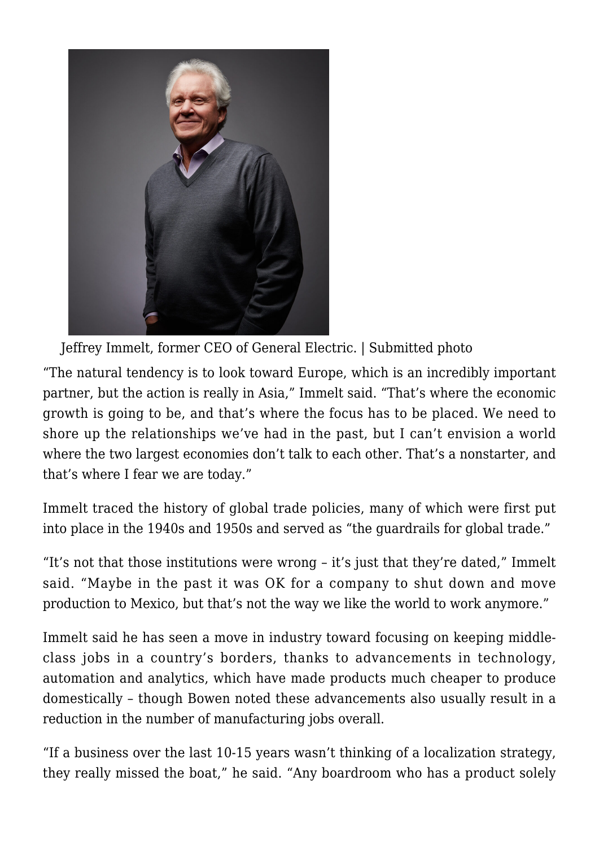

Jeffrey Immelt, former CEO of General Electric. | Submitted photo

"The natural tendency is to look toward Europe, which is an incredibly important partner, but the action is really in Asia," Immelt said. "That's where the economic growth is going to be, and that's where the focus has to be placed. We need to shore up the relationships we've had in the past, but I can't envision a world where the two largest economies don't talk to each other. That's a nonstarter, and that's where I fear we are today."

Immelt traced the history of global trade policies, many of which were first put into place in the 1940s and 1950s and served as "the guardrails for global trade."

"It's not that those institutions were wrong – it's just that they're dated," Immelt said. "Maybe in the past it was OK for a company to shut down and move production to Mexico, but that's not the way we like the world to work anymore."

Immelt said he has seen a move in industry toward focusing on keeping middleclass jobs in a country's borders, thanks to advancements in technology, automation and analytics, which have made products much cheaper to produce domestically – though Bowen noted these advancements also usually result in a reduction in the number of manufacturing jobs overall.

"If a business over the last 10-15 years wasn't thinking of a localization strategy, they really missed the boat," he said. "Any boardroom who has a product solely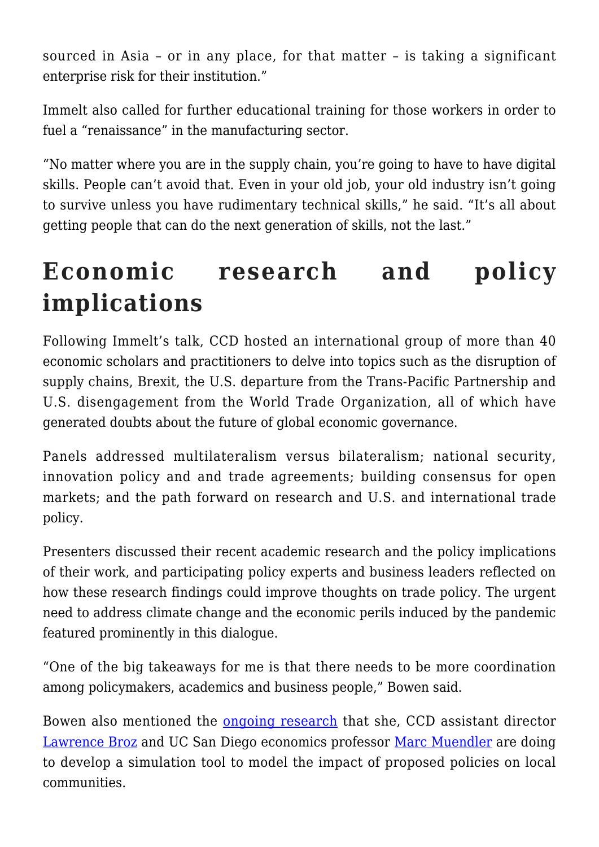sourced in Asia – or in any place, for that matter – is taking a significant enterprise risk for their institution."

Immelt also called for further educational training for those workers in order to fuel a "renaissance" in the manufacturing sector.

"No matter where you are in the supply chain, you're going to have to have digital skills. People can't avoid that. Even in your old job, your old industry isn't going to survive unless you have rudimentary technical skills," he said. "It's all about getting people that can do the next generation of skills, not the last."

## **Economic research and policy implications**

Following Immelt's talk, CCD hosted an international group of more than 40 economic scholars and practitioners to delve into topics such as the disruption of supply chains, Brexit, the U.S. departure from the Trans-Pacific Partnership and U.S. disengagement from the World Trade Organization, all of which have generated doubts about the future of global economic governance.

Panels addressed multilateralism versus bilateralism; national security, innovation policy and and trade agreements; building consensus for open markets; and the path forward on research and U.S. and international trade policy.

Presenters discussed their recent academic research and the policy implications of their work, and participating policy experts and business leaders reflected on how these research findings could improve thoughts on trade policy. The urgent need to address climate change and the economic perils induced by the pandemic featured prominently in this dialogue.

"One of the big takeaways for me is that there needs to be more coordination among policymakers, academics and business people," Bowen said.

Bowen also mentioned the [ongoing research](https://9f78cc29-a-62cb3a1a-s-sites.googlegroups.com/site/tamarareneebowenlyn/BowenBroz03262020.pdf?attachauth=ANoY7con7Wj99ihDfiQh5Q4dcFw992M7J4K7uwOylAVc3JFeL6Hk-p2QUw10sjGtlJVwRiOCiOMhZe0_U2e2QNxFCIiUyQI_Fd12KGAZVe9gZjNMTIcXF80yzJRMXdBa7gxrQCZdhGxKXdUYZwxW1ZeQ7z0_BvC1fdQB2YJmrD5oMttDJ8TPOIMqPMXjbmqiE5MCpIz1T6zbo9a4urdghwxX4Gw2VAjAgNe0njVBP6C3II6L4L7F_WQ%3D&attredirects=2&revision=2) that she, CCD assistant director [Lawrence Broz](https://polisci.ucsd.edu/people/faculty/faculty-directory/currently-active-faculty/broz-profile.html) and UC San Diego economics professor [Marc Muendler](https://economics.ucsd.edu/faculty-and-research/faculty-profiles/muendler.html) are doing to develop a simulation tool to model the impact of proposed policies on local communities.